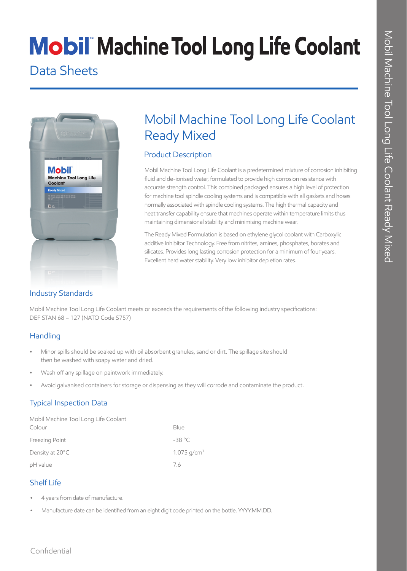# **Mobil Machine Tool Long Life Coolant**

### Data Sheets



## Mobil Machine Tool Long Life Coolant Ready Mixed

#### Product Description

Mobil Machine Tool Long Life Coolant is a predetermined mixture of corrosion inhibiting fluid and de-ionised water, formulated to provide high corrosion resistance with accurate strength control. This combined packaged ensures a high level of protection for machine tool spindle cooling systems and is compatible with all gaskets and hoses normally associated with spindle cooling systems. The high thermal capacity and heat transfer capability ensure that machines operate within temperature limits thus maintaining dimensional stability and minimising machine wear.

The Ready Mixed Formulation is based on ethylene glycol coolant with Carboxylic additive Inhibitor Technology. Free from nitrites, amines, phosphates, borates and silicates. Provides long lasting corrosion protection for a minimum of four years. Excellent hard water stability. Very low inhibitor depletion rates.

### Industry Standards

Mobil Machine Tool Long Life Coolant meets or exceeds the requirements of the following industry specifications: DEF STAN 68 – 127 (NATO Code S757)

#### **Handling**

- Minor spills should be soaked up with oil absorbent granules, sand or dirt. The spillage site should then be washed with soapy water and dried.
- Wash off any spillage on paintwork immediately.
- Avoid galvanised containers for storage or dispensing as they will corrode and contaminate the product.

### Typical Inspection Data

| Mobil Machine Tool Long Life Coolant |                           |
|--------------------------------------|---------------------------|
| Colour                               | Blue                      |
| Freezing Point                       | $-38 °C$                  |
| Density at 20°C                      | $1.075$ g/cm <sup>3</sup> |
| pH value                             | 76                        |

#### Shelf Life

- 4 years from date of manufacture.
- Manufacture date can be identified from an eight digit code printed on the bottle. YYYY.MM.DD.